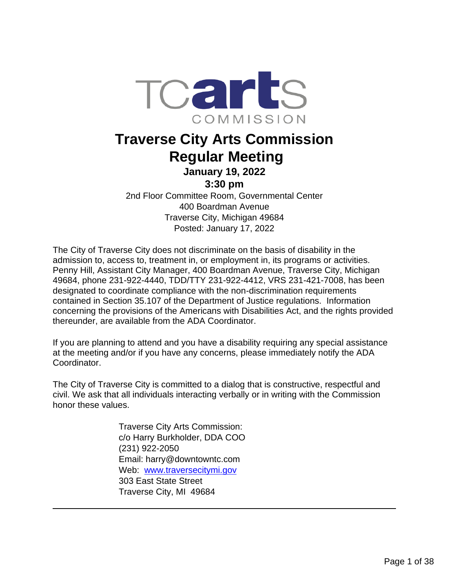

# **Traverse City Arts Commission Regular Meeting January 19, 2022**

## **3:30 pm**

2nd Floor Committee Room, Governmental Center 400 Boardman Avenue Traverse City, Michigan 49684 Posted: January 17, 2022

The City of Traverse City does not discriminate on the basis of disability in the admission to, access to, treatment in, or employment in, its programs or activities. Penny Hill, Assistant City Manager, 400 Boardman Avenue, Traverse City, Michigan 49684, phone 231-922-4440, TDD/TTY 231-922-4412, VRS 231-421-7008, has been designated to coordinate compliance with the non-discrimination requirements contained in Section 35.107 of the Department of Justice regulations. Information concerning the provisions of the Americans with Disabilities Act, and the rights provided thereunder, are available from the ADA Coordinator.

If you are planning to attend and you have a disability requiring any special assistance at the meeting and/or if you have any concerns, please immediately notify the ADA Coordinator.

The City of Traverse City is committed to a dialog that is constructive, respectful and civil. We ask that all individuals interacting verbally or in writing with the Commission honor these values.

> Traverse City Arts Commission: c/o Harry Burkholder, DDA COO (231) 922-2050 Email: harry@downtowntc.com Web: [www.traversecitymi.gov](http://www.traversecitymi.gov/) 303 East State Street Traverse City, MI 49684